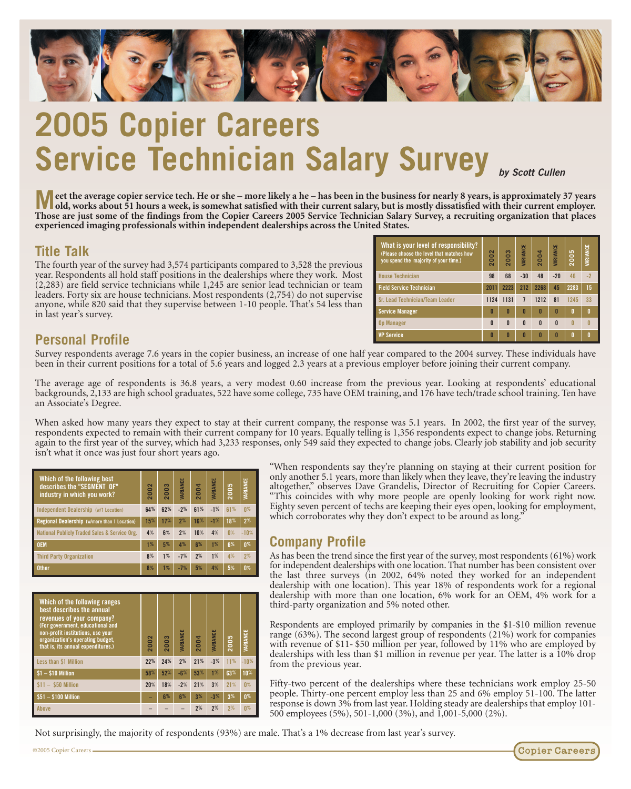

# **2005 Copier Careers Service Technician Salary Survey**

**M** eet the average copier service tech. He or she – more likely a he – has been in the business for nearly 8 years, is approximately 37 years<br>old, works about 51 hours a work is somewhat satisfied with the shade of the bu **old, works about 51 hours a week, is somewhat satisfied with their current salary, but is mostly dissatisfied with their current employer. Those are just some of the findings from the Copier Careers 2005 Service Technician Salary Survey, a recruiting organization that places experienced imaging professionals within independent dealerships across the United States.**

#### **Title Talk**

The fourth year of the survey had 3,574 participants compared to 3,528 the previous year. Respondents all hold staff positions in the dealerships where they work. Most (2,283) are field service technicians while 1,245 are senior lead technician or team leaders. Forty six are house technicians. Most respondents (2,754) do not supervise anyone, while 820 said that they supervise between 1-10 people. That's 54 less than in last year's survey.

| What is your level of responsibility?<br>(Please choose the level that matches how<br>vou spend the maiority of your time.) | $\sim$<br>۵<br>$\bullet$<br>$\bar{\mathbf{N}}$ | 2003         | VARIANCE     | 2004         | VARIANCE     | 2005 | VARIANCE     |
|-----------------------------------------------------------------------------------------------------------------------------|------------------------------------------------|--------------|--------------|--------------|--------------|------|--------------|
| <b>House Technician</b>                                                                                                     | 98                                             | 68           | $-30$        | 48           | $-20$        | 46   | $-2$         |
| <b>Field Service Technician</b>                                                                                             | 2011                                           | 2223         | 212          | 2268         | 45           | 2283 | 15           |
| Sr. Lead Technician/Team Leader                                                                                             | 1124                                           | 1131         | 7            | 1212         | 81           | 1245 | 33           |
| <b>Service Manager</b>                                                                                                      | Π                                              | n            | n            | Π            | $\mathsf{n}$ | 0    | $\mathbf{0}$ |
| <b>Op Manager</b>                                                                                                           | $\mathsf{n}$                                   | $\mathsf{n}$ | $\mathsf{n}$ | $\mathsf{n}$ | $\mathsf{n}$ | Λ    |              |
| <b>VP Service</b>                                                                                                           | Π                                              | n            | Π            | Π            | n            | 0    | Λ            |

# **Personal Profile**

Survey respondents average 7.6 years in the copier business, an increase of one half year compared to the 2004 survey. These individuals have been in their current positions for a total of 5.6 years and logged 2.3 years at a previous employer before joining their current company.

The average age of respondents is 36.8 years, a very modest 0.60 increase from the previous year. Looking at respondents' educational backgrounds, 2,133 are high school graduates, 522 have some college, 735 have OEM training, and 176 have tech/trade school training. Ten have an Associate's Degree.

When asked how many years they expect to stay at their current company, the response was 5.1 years. In 2002, the first year of the survey, respondents expected to remain with their current company for 10 years. Equally telling is 1,356 respondents expect to change jobs. Returning again to the first year of the survey, which had 3,233 responses, only 549 said they expected to change jobs. Clearly job stability and job security isn't what it once was just four short years ago.

| Which of the following best<br>describes the "SEGMENT OF"<br>industry in which you work? | ខ<br>$\overline{20}$ | 2003 | VARIANCE | 2004 | VARIANCE | 2005 | VARIANCE       |
|------------------------------------------------------------------------------------------|----------------------|------|----------|------|----------|------|----------------|
| Independent Dealership (w/1 Location)                                                    | 64%                  | 62%  | $-2%$    | 61%  | $-1%$    | 61%  | $0\%$          |
| Regional Dealership (w/more than 1 Location)                                             | 15%                  | 17%  | 2%       | 16%  | $-1%$    | 18%  | 2%             |
| National Publicly Traded Sales & Service Org.                                            | 4%                   | 6%   | 2%       | 10%  | 4%       | n%   | $-10%$         |
| <b>OEM</b>                                                                               | 1%                   | 5%   | 4%       | 6%   | 1%       | 6%   | 0 <sup>%</sup> |
| <b>Third Party Organization</b>                                                          | 8%                   | 1%   | $-7%$    | 2%   | 1%       | 4%   | 2%             |
| <b>Other</b>                                                                             | 8%                   | 1%   | $-7%$    | 5%   | 4%       | 5%   | 0 <sup>%</sup> |

| Which of the following ranges<br>best describes the annual<br>revenues of your company?<br>(For government, educational and<br>non-profit institutions, use your<br>organization's operating budget,<br>that is, its annual expenditures.) | 002<br>$\bar{\mathbf{c}}$ | 003<br>$\overline{\mathbf{C}}$ | VARIANCE | 2004 | <b><i>IARIANCE</i></b> | 2005 | VARIANCE       |
|--------------------------------------------------------------------------------------------------------------------------------------------------------------------------------------------------------------------------------------------|---------------------------|--------------------------------|----------|------|------------------------|------|----------------|
| Less than \$1 Million                                                                                                                                                                                                                      | 22%                       | 24%                            | 2%       | 21%  | $-3%$                  | 11%  | $-10%$         |
| $$1 - $10$ Million                                                                                                                                                                                                                         | 58%                       | 52%                            | $-6%$    | 53%  | 1%                     | 63%  | 10%            |
| $$11 - $50$ Million                                                                                                                                                                                                                        | 20%                       | 18%                            | $-2%$    | 21%  | 3%                     | 21%  | 0 <sup>%</sup> |
| $$51 - $100$ Million                                                                                                                                                                                                                       |                           | 6%                             | 6%       | 3%   | $-3%$                  | 3%   | 0 <sup>%</sup> |
| <b>Above</b>                                                                                                                                                                                                                               |                           |                                |          | 2%   | 2%                     | 2%   | 0 <sup>%</sup> |

"When respondents say they're planning on staying at their current position for only another 5.1 years, more than likely when they leave, they're leaving the industry altogether," observes Dave Grandelis, Director of Recruiting for Copier Careers. "This coincides with why more people are openly looking for work right now. Eighty seven percent of techs are keeping their eyes open, looking for employment, which corroborates why they don't expect to be around as long."

## **Company Profile**

As has been the trend since the first year of the survey, most respondents (61%) work for independent dealerships with one location. That number has been consistent over the last three surveys (in 2002, 64% noted they worked for an independent dealership with one location). This year 18% of respondents work for a regional dealership with more than one location, 6% work for an OEM, 4% work for a third-party organization and 5% noted other.

Respondents are employed primarily by companies in the \$1-\$10 million revenue range (63%). The second largest group of respondents (21%) work for companies with revenue of \$11- \$50 million per year, followed by 11% who are employed by dealerships with less than \$1 million in revenue per year. The latter is a 10% drop from the previous year.

Fifty-two percent of the dealerships where these technicians work employ 25-50 people. Thirty-one percent employ less than 25 and 6% employ 51-100. The latter response is down 3% from last year. Holding steady are dealerships that employ 101- 500 employees (5%), 501-1,000 (3%), and 1,001-5,000 (2%).

Not surprisingly, the majority of respondents (93%) are male. That's a 1% decrease from last year's survey.

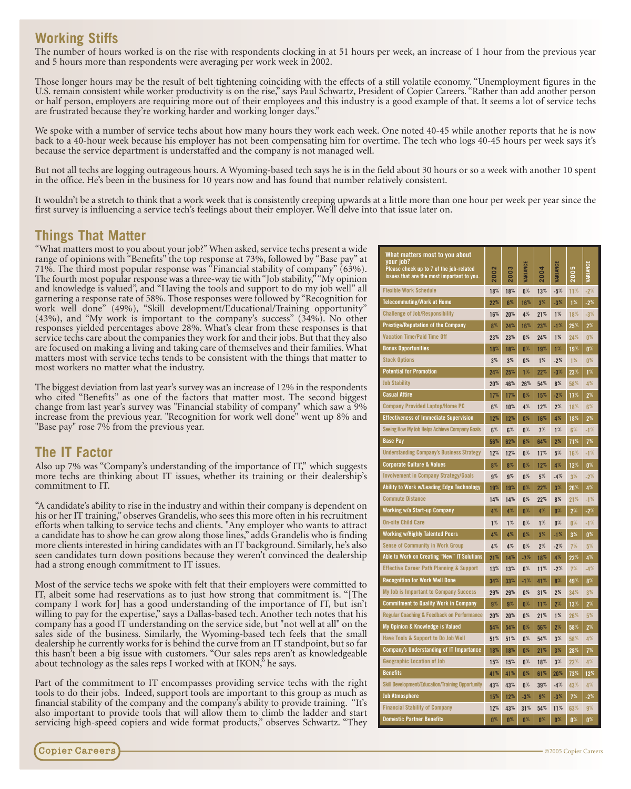### **Working Stiffs**

The number of hours worked is on the rise with respondents clocking in at 51 hours per week, an increase of 1 hour from the previous year and 5 hours more than respondents were averaging per work week in 2002.

Those longer hours may be the result of belt tightening coinciding with the effects of a still volatile economy. "Unemployment figures in the U.S. remain consistent while worker productivity is on the rise," says Paul Schwartz, President of Copier Careers. "Rather than add another person or half person, employers are requiring more out of their employees and this industry is a good example of that. It seems a lot of service techs are frustrated because they're working harder and working longer days."

We spoke with a number of service techs about how many hours they work each week. One noted 40-45 while another reports that he is now back to a 40-hour week because his employer has not been compensating him for overtime. The tech who logs 40-45 hours per week says it's because the service department is understaffed and the company is not managed well.

But not all techs are logging outrageous hours. A Wyoming-based tech says he is in the field about 30 hours or so a week with another 10 spent in the office. He's been in the business for 10 years now and has found that number relatively consistent.

It wouldn't be a stretch to think that a work week that is consistently creeping upwards at a little more than one hour per week per year since the first survey is influencing a service tech's feelings about their employer. We'll delve into that issue later on.

#### **Things That Matter**

"What matters most to you about your job?" When asked, service techs present a wide range of opinions with "Benefits" the top response at 73%, followed by "Base pay" at 71%. The third most popular response was "Financial stability of company" (63%). The fourth most popular response was a three-way tie with "Job stability,""My opinion and knowledge is valued", and "Having the tools and support to do my job well" all garnering a response rate of 58%. Those responses were followed by "Recognition for work well done" (49%), "Skill development/Educational/Training opportunity"  $(43%)$ , and "My work is important to the company's success"  $(34%)$ . No other responses yielded percentages above 28%. What's clear from these responses is that service techs care about the companies they work for and their jobs. But that they also are focused on making a living and taking care of themselves and their families. What matters most with service techs tends to be consistent with the things that matter to most workers no matter what the industry.

The biggest deviation from last year's survey was an increase of 12% in the respondents who cited "Benefits" as one of the factors that matter most. The second biggest change from last year's survey was "Financial stability of company" which saw a 9% increase from the previous year. "Recognition for work well done" went up 8% and "Base pay" rose 7% from the previous year.

#### **The IT Factor**

Also up 7% was "Company's understanding of the importance of IT," which suggests more techs are thinking about IT issues, whether its training or their dealership's commitment to IT.

"A candidate's ability to rise in the industry and within their company is dependent on his or her IT training," observes Grandelis, who sees this more often in his recruitment efforts when talking to service techs and clients. "Any employer who wants to attract a candidate has to show he can grow along those lines," adds Grandelis who is finding more clients interested in hiring candidates with an IT background. Similarly, he's also seen candidates turn down positions because they weren't convinced the dealership had a strong enough commitment to IT issues.

Most of the service techs we spoke with felt that their employers were committed to IT, albeit some had reservations as to just how strong that commitment is. "[The company I work for] has a good understanding of the importance of IT, but isn't willing to pay for the expertise," says a Dallas-based tech. Another tech notes that his company has a good IT understanding on the service side, but "not well at all" on the sales side of the business. Similarly, the Wyoming-based tech feels that the small dealership he currently works for is behind the curve from an IT standpoint, but so far this hasn't been a big issue with customers. "Our sales reps aren't as knowledgeable about technology as the sales reps I worked with at IKON,<sup>5</sup> he says.

Part of the commitment to IT encompasses providing service techs with the right tools to do their jobs. Indeed, support tools are important to this group as much as financial stability of the company and the company's ability to provide training. "It's also important to provide tools that will allow them to climb the ladder and start servicing high-speed copiers and wide format products," observes Schwartz. "They



| What matters most to you about<br>your job?<br>Please check up to 7 of the job-related                         |                |
|----------------------------------------------------------------------------------------------------------------|----------------|
| 2005<br>2002<br>003<br>004<br>issues that are the most important to you.                                       | RIANCE         |
| <b>Flexible Work Schedule</b><br>18%<br>18%<br>0 <sup>%</sup><br>13%<br>$-5%$<br>11%                           | $-2%$          |
| <b>Telecommuting/Work at Home</b><br>22%<br>6%<br>3%<br>$-3%$<br>1%<br>16%                                     | -2%            |
| <b>Challenge of Job/Responsibility</b><br>1%<br>16%<br>20%<br>4%<br>21%<br>18%                                 | $-3%$          |
| <b>Prestige/Reputation of the Company</b><br>8%<br>24%<br>16%<br>23%<br>$-1%$<br>25%                           | 2%             |
| <b>Vacation Time/Paid Time Off</b><br>23%<br>23%<br>$0\%$<br>24%<br>1%<br>24%                                  | 0 <sup>%</sup> |
| <b>Bonus Opportunities</b><br>$0\%$<br>18%<br>18%<br>19%<br>1%<br>19%                                          | 0 <sup>%</sup> |
| <b>Stock Options</b><br>3%<br>3%<br>0 <sup>%</sup><br>$1\%$<br>$-2%$<br>1%                                     | 0 <sup>%</sup> |
| <b>Potential for Promotion</b><br>24%<br>25%<br>1%<br>22%<br>$-3%$<br>23%                                      | 1%             |
| <b>Job Stability</b><br>20%<br>46%<br>26%<br>54%<br>8%<br>58%                                                  | 4%             |
| <b>Casual Attire</b><br>17%<br>17%<br>0 <sup>%</sup><br>15%<br>$-2%$<br>17%                                    | 2%             |
| <b>Company Provided Laptop/Home PC</b><br>6%<br>10%<br>4%<br>12%<br>2%<br>18%                                  | 6%             |
| <b>Effectiveness of Immediate Supervision</b><br>12%<br>$0\%$<br>4%<br>12%<br>16%<br>18%                       | 2%             |
| Seeing How My Job Helps Achieve Company Goals<br>0 <sup>%</sup><br>6%<br>6%<br>7%<br>1%<br>6%                  | $-1%$          |
| <b>Base Pay</b><br>56%<br>62%<br>6%<br>64%<br>2%<br>71%                                                        | 7 <sup>%</sup> |
| <b>Understanding Company's Business Strategy</b><br>12%<br>12%<br>$0\%$<br>17%<br>5%<br>16%                    | $-1%$          |
| <b>Corporate Culture &amp; Values</b><br>8%<br>8%<br>0 <sup>%</sup><br>12%<br>4%<br>12%                        | 0 <sup>%</sup> |
| <b>Involvement in Company Strategy/Goals</b><br>9%<br>9%<br>0 <sup>%</sup><br>5%<br>$-4%$<br>3%                | $-2%$          |
| Ability to Work w/Leading Edge Technology<br>19%<br>19%<br>0 <sup>%</sup><br>22%<br>3%<br>26%                  | 4%             |
| <b>Commute Distance</b><br>14%<br>14%<br>0 <sup>%</sup><br>22%<br>8%<br>21%                                    | $-1%$          |
| Working w/a Start-up Company<br>4%<br>4%<br>0 <sup>%</sup><br>4%<br>0 <sup>%</sup><br>2%                       | $-2%$          |
| <b>On-site Child Care</b><br>1%<br>1%<br>1%<br>0 <sup>%</sup><br>0 <sup>%</sup><br>$0\%$                       | $-1%$          |
| <b>Working w/Highly Talented Peers</b><br>4%<br>4%<br>0 <sup>%</sup><br>3%<br>$-1%$<br>3%                      | $0\%$          |
| Sense of Community in Work Group<br>4%<br>4%<br>$0\%$<br>2%<br>$-2%$<br>7%                                     | 5%             |
| Able to Work on Creating "New" IT Solutions<br>21%<br>14%<br>$-7%$<br>18%<br>4%<br>22%                         | 4%             |
| <b>Effective Career Path Planning &amp; Support</b><br>13%<br>13%<br>$0\%$<br>11%<br>$-2%$<br>7%               | $-4%$          |
| <b>Recognition for Work Well Done</b><br>34%<br>33%<br>$-1%$<br>41%<br>8%<br>49%                               | $8\%$          |
| My Job is Important to Company Success<br>n%<br>2%<br>29%<br>29%<br>31%<br>34%                                 | 3%             |
| <b>Commitment to Quality Work in Company</b><br>9%<br>0 <sup>%</sup><br>13%<br>9%<br>11%<br>2%                 | 2%             |
| <b>Regular Coaching &amp; Feedback on Performance</b><br>20%<br>0 <sup>%</sup><br>21%<br>20%<br>1%<br>26%      | 5%             |
| My Opinion & Knowledge is Valued<br>54%<br>54%<br>0 <sup>%</sup><br>56%<br>2%<br>58%                           | 2%             |
| Have Tools & Support to Do Job Well<br>51%<br>51%<br>0 <sup>%</sup><br>54%<br>3%<br>58%                        | 4%             |
| Company's Understanding of IT Importance<br>18%<br>0 <sup>%</sup><br>21%<br>3%<br>18%<br>28%                   | 7%             |
| <b>Geographic Location of Job</b><br>15%<br>15%<br>n%<br>18%<br>3%<br>22%                                      | 4%             |
| <b>Benefits</b><br>41%<br>41%<br>0 <sup>%</sup><br>61%<br>20%<br>73%                                           | 12%            |
| <b>Skill Development/Education/Training Opportunity</b><br>0 <sup>%</sup><br>43%<br>43%<br>39%<br>$-4%$<br>43% | 4%             |
| <b>Job Atmosphere</b><br>$-3%$<br>9%<br>7%<br>15%<br>12%<br>$-3%$                                              | $-2%$          |
| <b>Financial Stability of Company</b><br>12%<br>43%<br>31%<br>54%<br>11%<br>63%                                | 9%             |
| <b>Domestic Partner Benefits</b><br>0%<br>0%<br>0 <sup>%</sup><br>0%<br>0 <sup>%</sup><br>0 <sup>%</sup>       | O%             |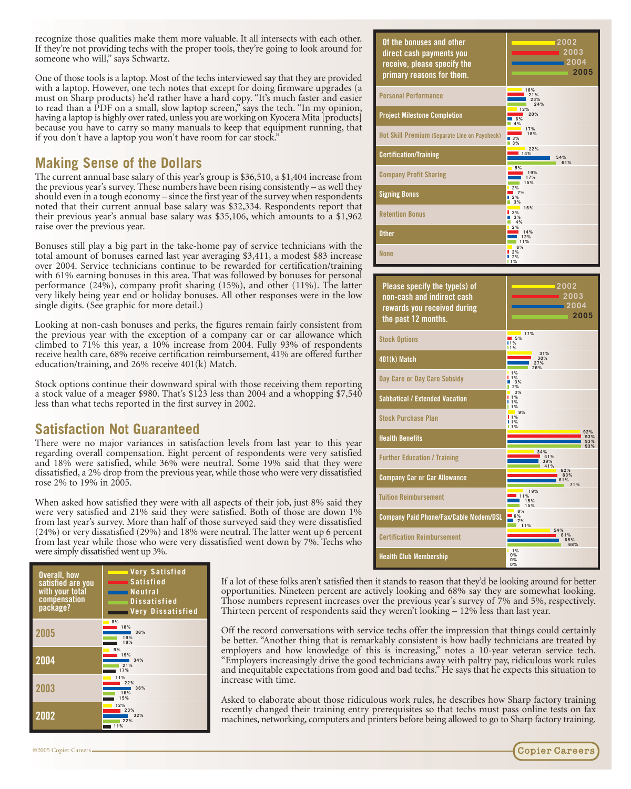recognize those qualities make them more valuable. It all intersects with each other. If they're not providing techs with the proper tools, they're going to look around for someone who will," says Schwartz.

One of those tools is a laptop. Most of the techs interviewed say that they are provided with a laptop. However, one tech notes that except for doing firmware upgrades (a must on Sharp products) he'd rather have a hard copy. "It's much faster and easier to read than a PDF on a small, slow laptop screen," says the tech. "In my opinion, having a laptop is highly over rated, unless you are working on Kyocera Mita [products] because you have to carry so many manuals to keep that equipment running, that if you don't have a laptop you won't have room for car stock."

## **Making Sense of the Dollars**

The current annual base salary of this year's group is \$36,510, a \$1,404 increase from the previous year's survey. These numbers have been rising consistently – as well they should even in a tough economy – since the first year of the survey when respondents noted that their current annual base salary was \$32,334. Respondents report that their previous year's annual base salary was \$35,106, which amounts to a \$1,962 raise over the previous year.

Bonuses still play a big part in the take-home pay of service technicians with the total amount of bonuses earned last year averaging \$3,411, a modest \$83 increase over 2004. Service technicians continue to be rewarded for certification/training with 61% earning bonuses in this area. That was followed by bonuses for personal performance (24%), company profit sharing (15%), and other (11%). The latter very likely being year end or holiday bonuses. All other responses were in the low single digits. (See graphic for more detail.)

Looking at non-cash bonuses and perks, the figures remain fairly consistent from the previous year with the exception of a company car or car allowance which climbed to 71% this year, a 10% increase from 2004. Fully 93% of respondents receive health care, 68% receive certification reimbursement, 41% are offered further education/training, and 26% receive 401(k) Match.

Stock options continue their downward spiral with those receiving them reporting a stock value of a meager \$980. That's \$123 less than 2004 and a whopping \$7,540 less than what techs reported in the first survey in 2002.

## **Satisfaction Not Guaranteed**

There were no major variances in satisfaction levels from last year to this year regarding overall compensation. Eight percent of respondents were very satisfied and 18% were satisfied, while 36% were neutral. Some 19% said that they were dissatisfied, a 2% drop from the previous year, while those who were very dissatisfied rose 2% to 19% in 2005.

When asked how satisfied they were with all aspects of their job, just 8% said they were very satisfied and 21% said they were satisfied. Both of those are down 1% from last year's survey. More than half of those surveyed said they were dissatisfied (24%) or very dissatisfied (29%) and 18% were neutral. The latter went up 6 percent from last year while those who were very dissatisfied went down by 7%. Techs who were simply dissatisfied went up 3%.

| Overall, how<br>satisfied are you<br>with your total<br>compensation<br>package? | Very Satisfied<br><b>Contract</b><br>Satisfied<br><b>Neutral</b><br><b>Dissatisfied</b><br><b>Very Dissatisfied</b> |  |  |  |  |
|----------------------------------------------------------------------------------|---------------------------------------------------------------------------------------------------------------------|--|--|--|--|
| 2005                                                                             | 8%<br>18%<br>36%<br>19%<br>19%                                                                                      |  |  |  |  |
| 2004                                                                             | 9%<br>19%<br>34%<br>21%<br>7%                                                                                       |  |  |  |  |
| 2003                                                                             | 11%<br>22%<br>36%<br>16%<br>15%                                                                                     |  |  |  |  |
| 2002                                                                             | 12%<br>23%<br>32%<br>22%<br>11%                                                                                     |  |  |  |  |





If a lot of these folks aren't satisfied then it stands to reason that they'd be looking around for better opportunities. Nineteen percent are actively looking and 68% say they are somewhat looking. Those numbers represent increases over the previous year's survey of 7% and 5%, respectively. Thirteen percent of respondents said they weren't looking – 12% less than last year.

Off the record conversations with service techs offer the impression that things could certainly be better. "Another thing that is remarkably consistent is how badly technicians are treated by employers and how knowledge of this is increasing," notes a 10-year veteran service tech. "Employers increasingly drive the good technicians away with paltry pay, ridiculous work rules and inequitable expectations from good and bad techs." He says that he expects this situation to increase with time.

Asked to elaborate about those ridiculous work rules, he describes how Sharp factory training recently changed their training entry prerequisites so that techs must pass online tests on fax machines, networking, computers and printers before being allowed to go to Sharp factory training.